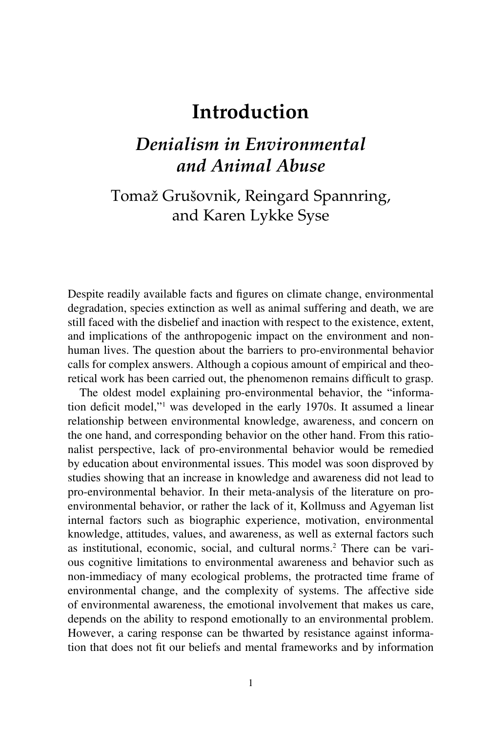# *Denialism in Environmental and Animal Abuse*

Tomaž Grušovnik, Reingard Spannring, and Karen Lykke Syse

Despite readily available facts and figures on climate change, environmental degradation, species extinction as well as animal suffering and death, we are still faced with the disbelief and inaction with respect to the existence, extent, and implications of the anthropogenic impact on the environment and nonhuman lives. The question about the barriers to pro-environmental behavior calls for complex answers. Although a copious amount of empirical and theoretical work has been carried out, the phenomenon remains difficult to grasp.

The oldest model explaining pro-environmental behavior, the "information deficit model,"<sup>1</sup> was developed in the early 1970s. It assumed a linear relationship between environmental knowledge, awareness, and concern on the one hand, and corresponding behavior on the other hand. From this rationalist perspective, lack of pro-environmental behavior would be remedied by education about environmental issues. This model was soon disproved by studies showing that an increase in knowledge and awareness did not lead to pro-environmental behavior. In their meta-analysis of the literature on proenvironmental behavior, or rather the lack of it, Kollmuss and Agyeman list internal factors such as biographic experience, motivation, environmental knowledge, attitudes, values, and awareness, as well as external factors such as institutional, economic, social, and cultural norms.<sup>2</sup> There can be various cognitive limitations to environmental awareness and behavior such as non-immediacy of many ecological problems, the protracted time frame of environmental change, and the complexity of systems. The affective side of environmental awareness, the emotional involvement that makes us care, depends on the ability to respond emotionally to an environmental problem. However, a caring response can be thwarted by resistance against information that does not fit our beliefs and mental frameworks and by information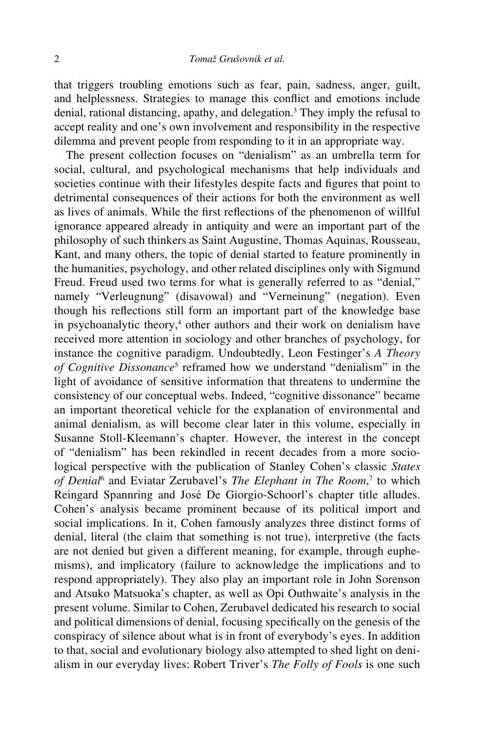that triggers troubling emotions such as fear, pain, sadness, anger, guilt, and helplessness. Strategies to manage this conflict and emotions include denial, rational distancing, apathy, and delegation.<sup>3</sup> They imply the refusal to accept reality and one's own involvement and responsibility in the respective dilemma and prevent people from responding to it in an appropriate way.

The present collection focuses on "denialism" as an umbrella term for social, cultural, and psychological mechanisms that help individuals and societies continue with their lifestyles despite facts and figures that point to detrimental consequences of their actions for both the environment as well as lives of animals. While the first reflections of the phenomenon of willful ignorance appeared already in antiquity and were an important part of the philosophy of such thinkers as Saint Augustine, Thomas Aquinas, Rousseau, Kant, and many others, the topic of denial started to feature prominently in the humanities, psychology, and other related disciplines only with Sigmund Freud. Freud used two terms for what is generally referred to as "denial," namely "Verleugnung" (disavowal) and "Verneinung" (negation). Even though his reflections still form an important part of the knowledge base in psychoanalytic theory,<sup>4</sup> other authors and their work on denialism have received more attention in sociology and other branches of psychology, for instance the cognitive paradigm. Undoubtedly, Leon Festinger's *A Theory of Cognitive Dissonance*<sup>5</sup> reframed how we understand "denialism" in the light of avoidance of sensitive information that threatens to undermine the consistency of our conceptual webs. Indeed, "cognitive dissonance" became an important theoretical vehicle for the explanation of environmental and animal denialism, as will become clear later in this volume, especially in Susanne Stoll-Kleemann's chapter. However, the interest in the concept of "denialism" has been rekindled in recent decades from a more sociological perspective with the publication of Stanley Cohen's classic *States*  of Denial<sup>6</sup> and Eviatar Zerubavel's *The Elephant in The Room*,<sup>7</sup> to which Reingard Spannring and José De Giorgio-Schoorl's chapter title alludes. Cohen's analysis became prominent because of its political import and social implications. In it, Cohen famously analyzes three distinct forms of denial, literal (the claim that something is not true), interpretive (the facts are not denied but given a different meaning, for example, through euphemisms), and implicatory (failure to acknowledge the implications and to respond appropriately). They also play an important role in John Sorenson and Atsuko Matsuoka's chapter, as well as Opi Outhwaite's analysis in the present volume. Similar to Cohen, Zerubavel dedicated his research to social and political dimensions of denial, focusing specifically on the genesis of the conspiracy of silence about what is in front of everybody's eyes. In addition to that, social and evolutionary biology also attempted to shed light on denialism in our everyday lives: Robert Triver's *The Folly of Fools* is one such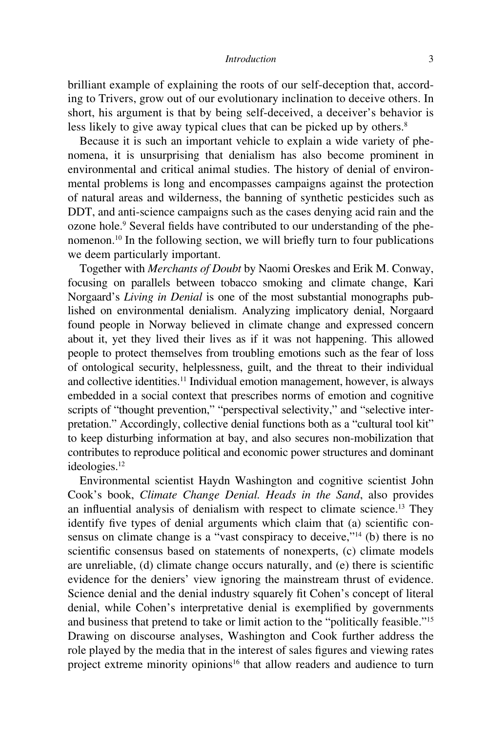brilliant example of explaining the roots of our self-deception that, according to Trivers, grow out of our evolutionary inclination to deceive others. In short, his argument is that by being self-deceived, a deceiver's behavior is less likely to give away typical clues that can be picked up by others.<sup>8</sup>

Because it is such an important vehicle to explain a wide variety of phenomena, it is unsurprising that denialism has also become prominent in environmental and critical animal studies. The history of denial of environmental problems is long and encompasses campaigns against the protection of natural areas and wilderness, the banning of synthetic pesticides such as DDT, and anti-science campaigns such as the cases denying acid rain and the ozone hole.<sup>9</sup> Several fields have contributed to our understanding of the phenomenon.10 In the following section, we will briefly turn to four publications we deem particularly important.

Together with *Merchants of Doubt* by Naomi Oreskes and Erik M. Conway, focusing on parallels between tobacco smoking and climate change, Kari Norgaard's *Living in Denial* is one of the most substantial monographs published on environmental denialism. Analyzing implicatory denial, Norgaard found people in Norway believed in climate change and expressed concern about it, yet they lived their lives as if it was not happening. This allowed people to protect themselves from troubling emotions such as the fear of loss of ontological security, helplessness, guilt, and the threat to their individual and collective identities.11 Individual emotion management, however, is always embedded in a social context that prescribes norms of emotion and cognitive scripts of "thought prevention," "perspectival selectivity," and "selective interpretation." Accordingly, collective denial functions both as a "cultural tool kit" to keep disturbing information at bay, and also secures non-mobilization that contributes to reproduce political and economic power structures and dominant ideologies.<sup>12</sup>

Environmental scientist Haydn Washington and cognitive scientist John Cook's book, *Climate Change Denial. Heads in the Sand*, also provides an influential analysis of denialism with respect to climate science.<sup>13</sup> They identify five types of denial arguments which claim that (a) scientific consensus on climate change is a "vast conspiracy to deceive,"<sup>14</sup> (b) there is no scientific consensus based on statements of nonexperts, (c) climate models are unreliable, (d) climate change occurs naturally, and (e) there is scientific evidence for the deniers' view ignoring the mainstream thrust of evidence. Science denial and the denial industry squarely fit Cohen's concept of literal denial, while Cohen's interpretative denial is exemplified by governments and business that pretend to take or limit action to the "politically feasible."<sup>15</sup> Drawing on discourse analyses, Washington and Cook further address the role played by the media that in the interest of sales figures and viewing rates project extreme minority opinions<sup>16</sup> that allow readers and audience to turn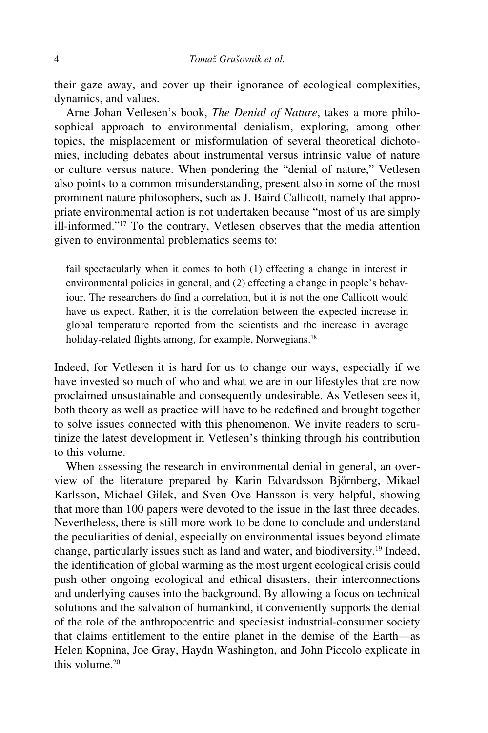their gaze away, and cover up their ignorance of ecological complexities, dynamics, and values.

Arne Johan Vetlesen's book, *The Denial of Nature*, takes a more philosophical approach to environmental denialism, exploring, among other topics, the misplacement or misformulation of several theoretical dichotomies, including debates about instrumental versus intrinsic value of nature or culture versus nature. When pondering the "denial of nature," Vetlesen also points to a common misunderstanding, present also in some of the most prominent nature philosophers, such as J. Baird Callicott, namely that appropriate environmental action is not undertaken because "most of us are simply ill-informed."17 To the contrary, Vetlesen observes that the media attention given to environmental problematics seems to:

fail spectacularly when it comes to both (1) effecting a change in interest in environmental policies in general, and (2) effecting a change in people's behaviour. The researchers do find a correlation, but it is not the one Callicott would have us expect. Rather, it is the correlation between the expected increase in global temperature reported from the scientists and the increase in average holiday-related flights among, for example, Norwegians.<sup>18</sup>

Indeed, for Vetlesen it is hard for us to change our ways, especially if we have invested so much of who and what we are in our lifestyles that are now proclaimed unsustainable and consequently undesirable. As Vetlesen sees it, both theory as well as practice will have to be redefined and brought together to solve issues connected with this phenomenon. We invite readers to scrutinize the latest development in Vetlesen's thinking through his contribution to this volume.

When assessing the research in environmental denial in general, an overview of the literature prepared by Karin Edvardsson Björnberg, Mikael Karlsson, Michael Gilek, and Sven Ove Hansson is very helpful, showing that more than 100 papers were devoted to the issue in the last three decades. Nevertheless, there is still more work to be done to conclude and understand the peculiarities of denial, especially on environmental issues beyond climate change, particularly issues such as land and water, and biodiversity.19 Indeed, the identification of global warming as the most urgent ecological crisis could push other ongoing ecological and ethical disasters, their interconnections and underlying causes into the background. By allowing a focus on technical solutions and the salvation of humankind, it conveniently supports the denial of the role of the anthropocentric and speciesist industrial-consumer society that claims entitlement to the entire planet in the demise of the Earth—as Helen Kopnina, Joe Gray, Haydn Washington, and John Piccolo explicate in this volume. $20$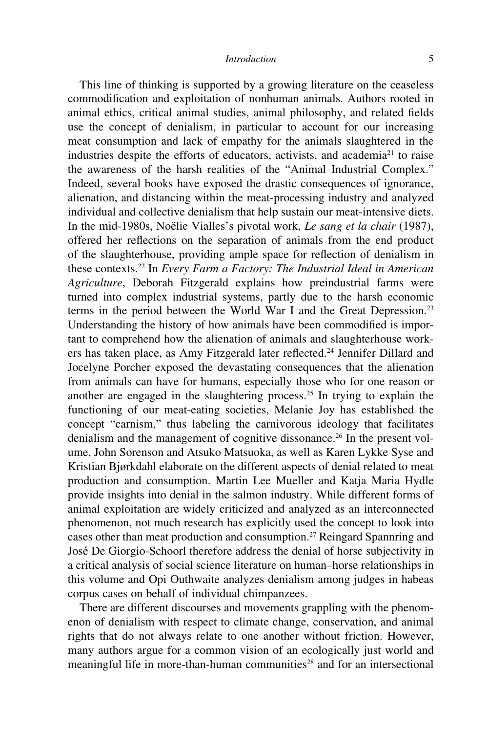This line of thinking is supported by a growing literature on the ceaseless commodification and exploitation of nonhuman animals. Authors rooted in animal ethics, critical animal studies, animal philosophy, and related fields use the concept of denialism, in particular to account for our increasing meat consumption and lack of empathy for the animals slaughtered in the industries despite the efforts of educators, activists, and academia<sup>21</sup> to raise the awareness of the harsh realities of the "Animal Industrial Complex." Indeed, several books have exposed the drastic consequences of ignorance, alienation, and distancing within the meat-processing industry and analyzed individual and collective denialism that help sustain our meat-intensive diets. In the mid-1980s, Noёlie Vialles's pivotal work, *Le sang et la chair* (1987), offered her reflections on the separation of animals from the end product of the slaughterhouse, providing ample space for reflection of denialism in these contexts.22 In *Every Farm a Factory: The Industrial Ideal in American Agriculture*, Deborah Fitzgerald explains how preindustrial farms were turned into complex industrial systems, partly due to the harsh economic terms in the period between the World War I and the Great Depression.23 Understanding the history of how animals have been commodified is important to comprehend how the alienation of animals and slaughterhouse workers has taken place, as Amy Fitzgerald later reflected.24 Jennifer Dillard and Jocelyne Porcher exposed the devastating consequences that the alienation from animals can have for humans, especially those who for one reason or another are engaged in the slaughtering process.25 In trying to explain the functioning of our meat-eating societies, Melanie Joy has established the concept "carnism," thus labeling the carnivorous ideology that facilitates denialism and the management of cognitive dissonance.<sup>26</sup> In the present volume, John Sorenson and Atsuko Matsuoka, as well as Karen Lykke Syse and Kristian Bjørkdahl elaborate on the different aspects of denial related to meat production and consumption. Martin Lee Mueller and Katja Maria Hydle provide insights into denial in the salmon industry. While different forms of animal exploitation are widely criticized and analyzed as an interconnected phenomenon, not much research has explicitly used the concept to look into cases other than meat production and consumption.27 Reingard Spannring and José De Giorgio-Schoorl therefore address the denial of horse subjectivity in a critical analysis of social science literature on human–horse relationships in this volume and Opi Outhwaite analyzes denialism among judges in habeas corpus cases on behalf of individual chimpanzees.

There are different discourses and movements grappling with the phenomenon of denialism with respect to climate change, conservation, and animal rights that do not always relate to one another without friction. However, many authors argue for a common vision of an ecologically just world and meaningful life in more-than-human communities<sup>28</sup> and for an intersectional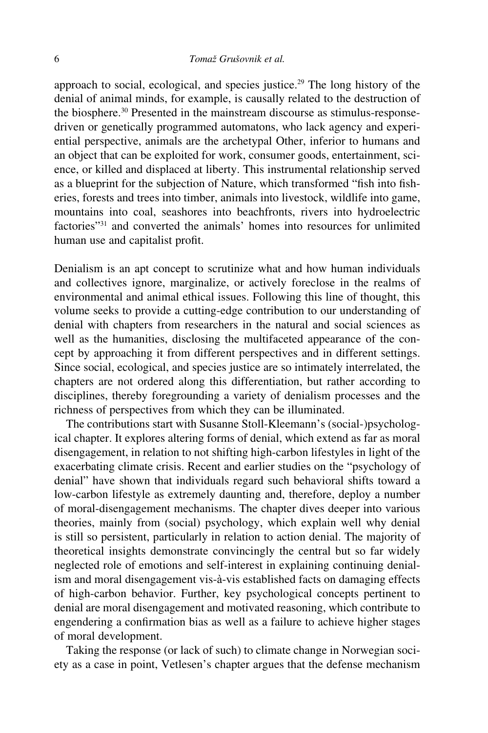approach to social, ecological, and species justice. $29$  The long history of the denial of animal minds, for example, is causally related to the destruction of the biosphere.<sup>30</sup> Presented in the mainstream discourse as stimulus-responsedriven or genetically programmed automatons, who lack agency and experiential perspective, animals are the archetypal Other, inferior to humans and an object that can be exploited for work, consumer goods, entertainment, science, or killed and displaced at liberty. This instrumental relationship served as a blueprint for the subjection of Nature, which transformed "fish into fisheries, forests and trees into timber, animals into livestock, wildlife into game, mountains into coal, seashores into beachfronts, rivers into hydroelectric factories"31 and converted the animals' homes into resources for unlimited human use and capitalist profit.

Denialism is an apt concept to scrutinize what and how human individuals and collectives ignore, marginalize, or actively foreclose in the realms of environmental and animal ethical issues. Following this line of thought, this volume seeks to provide a cutting-edge contribution to our understanding of denial with chapters from researchers in the natural and social sciences as well as the humanities, disclosing the multifaceted appearance of the concept by approaching it from different perspectives and in different settings. Since social, ecological, and species justice are so intimately interrelated, the chapters are not ordered along this differentiation, but rather according to disciplines, thereby foregrounding a variety of denialism processes and the richness of perspectives from which they can be illuminated.

The contributions start with Susanne Stoll-Kleemann's (social-)psychological chapter. It explores altering forms of denial, which extend as far as moral disengagement, in relation to not shifting high-carbon lifestyles in light of the exacerbating climate crisis. Recent and earlier studies on the "psychology of denial" have shown that individuals regard such behavioral shifts toward a low-carbon lifestyle as extremely daunting and, therefore, deploy a number of moral-disengagement mechanisms. The chapter dives deeper into various theories, mainly from (social) psychology, which explain well why denial is still so persistent, particularly in relation to action denial. The majority of theoretical insights demonstrate convincingly the central but so far widely neglected role of emotions and self-interest in explaining continuing denialism and moral disengagement vis-à-vis established facts on damaging effects of high-carbon behavior. Further, key psychological concepts pertinent to denial are moral disengagement and motivated reasoning, which contribute to engendering a confirmation bias as well as a failure to achieve higher stages of moral development.

Taking the response (or lack of such) to climate change in Norwegian society as a case in point, Vetlesen's chapter argues that the defense mechanism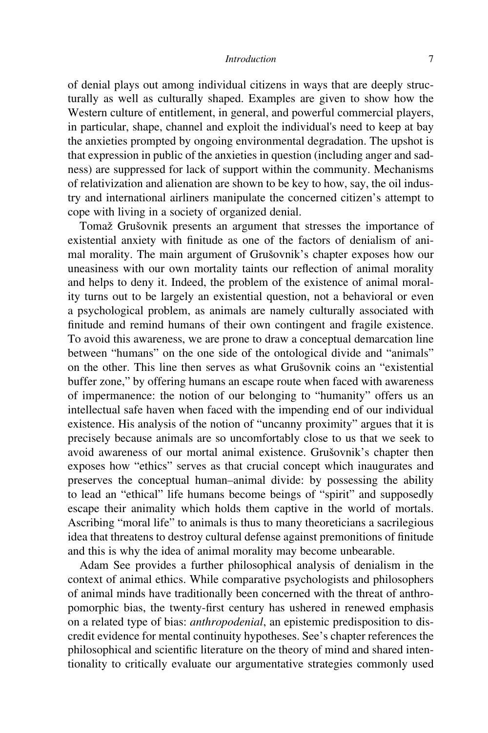of denial plays out among individual citizens in ways that are deeply structurally as well as culturally shaped. Examples are given to show how the Western culture of entitlement, in general, and powerful commercial players, in particular, shape, channel and exploit the individual's need to keep at bay the anxieties prompted by ongoing environmental degradation. The upshot is that expression in public of the anxieties in question (including anger and sadness) are suppressed for lack of support within the community. Mechanisms of relativization and alienation are shown to be key to how, say, the oil industry and international airliners manipulate the concerned citizen's attempt to cope with living in a society of organized denial.

Tomaž Grušovnik presents an argument that stresses the importance of existential anxiety with finitude as one of the factors of denialism of animal morality. The main argument of Grušovnik's chapter exposes how our uneasiness with our own mortality taints our reflection of animal morality and helps to deny it. Indeed, the problem of the existence of animal morality turns out to be largely an existential question, not a behavioral or even a psychological problem, as animals are namely culturally associated with finitude and remind humans of their own contingent and fragile existence. To avoid this awareness, we are prone to draw a conceptual demarcation line between "humans" on the one side of the ontological divide and "animals" on the other. This line then serves as what Grušovnik coins an "existential buffer zone," by offering humans an escape route when faced with awareness of impermanence: the notion of our belonging to "humanity" offers us an intellectual safe haven when faced with the impending end of our individual existence. His analysis of the notion of "uncanny proximity" argues that it is precisely because animals are so uncomfortably close to us that we seek to avoid awareness of our mortal animal existence. Grušovnik's chapter then exposes how "ethics" serves as that crucial concept which inaugurates and preserves the conceptual human–animal divide: by possessing the ability to lead an "ethical" life humans become beings of "spirit" and supposedly escape their animality which holds them captive in the world of mortals. Ascribing "moral life" to animals is thus to many theoreticians a sacrilegious idea that threatens to destroy cultural defense against premonitions of finitude and this is why the idea of animal morality may become unbearable.

Adam See provides a further philosophical analysis of denialism in the context of animal ethics. While comparative psychologists and philosophers of animal minds have traditionally been concerned with the threat of anthropomorphic bias, the twenty-first century has ushered in renewed emphasis on a related type of bias: *anthropodenial*, an epistemic predisposition to discredit evidence for mental continuity hypotheses. See's chapter references the philosophical and scientific literature on the theory of mind and shared intentionality to critically evaluate our argumentative strategies commonly used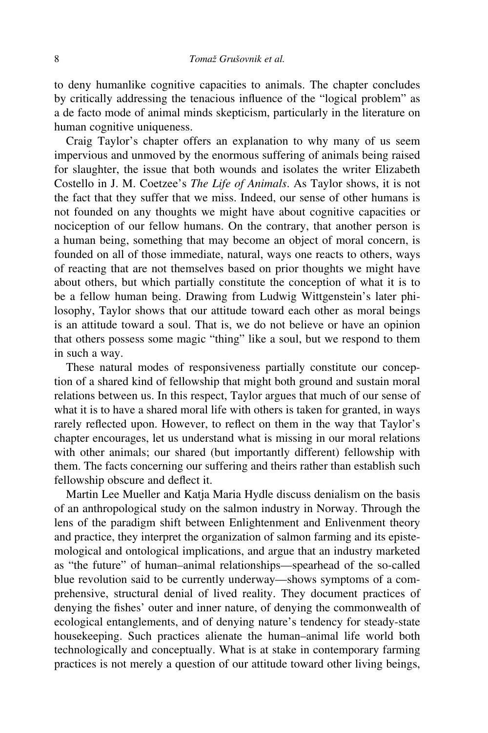to deny humanlike cognitive capacities to animals. The chapter concludes by critically addressing the tenacious influence of the "logical problem" as a de facto mode of animal minds skepticism, particularly in the literature on human cognitive uniqueness.

Craig Taylor's chapter offers an explanation to why many of us seem impervious and unmoved by the enormous suffering of animals being raised for slaughter, the issue that both wounds and isolates the writer Elizabeth Costello in J. M. Coetzee's *The Life of Animals*. As Taylor shows, it is not the fact that they suffer that we miss. Indeed, our sense of other humans is not founded on any thoughts we might have about cognitive capacities or nociception of our fellow humans. On the contrary, that another person is a human being, something that may become an object of moral concern, is founded on all of those immediate, natural, ways one reacts to others, ways of reacting that are not themselves based on prior thoughts we might have about others, but which partially constitute the conception of what it is to be a fellow human being. Drawing from Ludwig Wittgenstein's later philosophy, Taylor shows that our attitude toward each other as moral beings is an attitude toward a soul. That is, we do not believe or have an opinion that others possess some magic "thing" like a soul, but we respond to them in such a way.

These natural modes of responsiveness partially constitute our conception of a shared kind of fellowship that might both ground and sustain moral relations between us. In this respect, Taylor argues that much of our sense of what it is to have a shared moral life with others is taken for granted, in ways rarely reflected upon. However, to reflect on them in the way that Taylor's chapter encourages, let us understand what is missing in our moral relations with other animals; our shared (but importantly different) fellowship with them. The facts concerning our suffering and theirs rather than establish such fellowship obscure and deflect it.

Martin Lee Mueller and Katja Maria Hydle discuss denialism on the basis of an anthropological study on the salmon industry in Norway. Through the lens of the paradigm shift between Enlightenment and Enlivenment theory and practice, they interpret the organization of salmon farming and its epistemological and ontological implications, and argue that an industry marketed as "the future" of human–animal relationships—spearhead of the so-called blue revolution said to be currently underway—shows symptoms of a comprehensive, structural denial of lived reality. They document practices of denying the fishes' outer and inner nature, of denying the commonwealth of ecological entanglements, and of denying nature's tendency for steady-state housekeeping. Such practices alienate the human–animal life world both technologically and conceptually. What is at stake in contemporary farming practices is not merely a question of our attitude toward other living beings,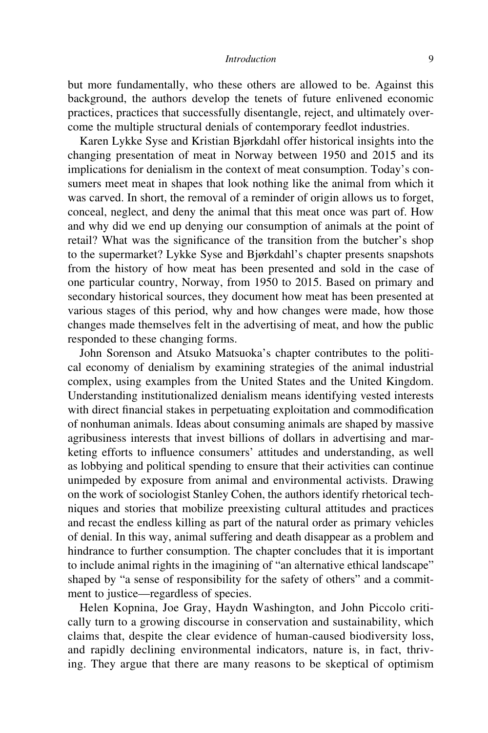but more fundamentally, who these others are allowed to be. Against this background, the authors develop the tenets of future enlivened economic practices, practices that successfully disentangle, reject, and ultimately overcome the multiple structural denials of contemporary feedlot industries.

Karen Lykke Syse and Kristian Bjørkdahl offer historical insights into the changing presentation of meat in Norway between 1950 and 2015 and its implications for denialism in the context of meat consumption. Today's consumers meet meat in shapes that look nothing like the animal from which it was carved. In short, the removal of a reminder of origin allows us to forget, conceal, neglect, and deny the animal that this meat once was part of. How and why did we end up denying our consumption of animals at the point of retail? What was the significance of the transition from the butcher's shop to the supermarket? Lykke Syse and Bjørkdahl's chapter presents snapshots from the history of how meat has been presented and sold in the case of one particular country, Norway, from 1950 to 2015. Based on primary and secondary historical sources, they document how meat has been presented at various stages of this period, why and how changes were made, how those changes made themselves felt in the advertising of meat, and how the public responded to these changing forms.

John Sorenson and Atsuko Matsuoka's chapter contributes to the political economy of denialism by examining strategies of the animal industrial complex, using examples from the United States and the United Kingdom. Understanding institutionalized denialism means identifying vested interests with direct financial stakes in perpetuating exploitation and commodification of nonhuman animals. Ideas about consuming animals are shaped by massive agribusiness interests that invest billions of dollars in advertising and marketing efforts to influence consumers' attitudes and understanding, as well as lobbying and political spending to ensure that their activities can continue unimpeded by exposure from animal and environmental activists. Drawing on the work of sociologist Stanley Cohen, the authors identify rhetorical techniques and stories that mobilize preexisting cultural attitudes and practices and recast the endless killing as part of the natural order as primary vehicles of denial. In this way, animal suffering and death disappear as a problem and hindrance to further consumption. The chapter concludes that it is important to include animal rights in the imagining of "an alternative ethical landscape" shaped by "a sense of responsibility for the safety of others" and a commitment to justice—regardless of species.

Helen Kopnina, Joe Gray, Haydn Washington, and John Piccolo critically turn to a growing discourse in conservation and sustainability, which claims that, despite the clear evidence of human-caused biodiversity loss, and rapidly declining environmental indicators, nature is, in fact, thriving. They argue that there are many reasons to be skeptical of optimism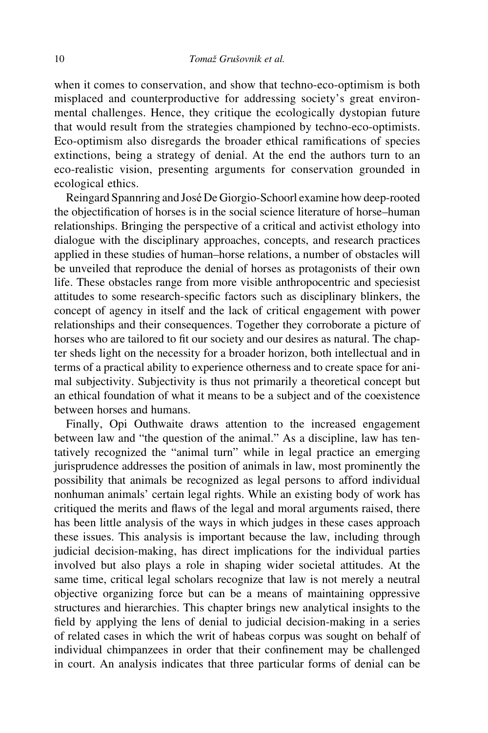when it comes to conservation, and show that techno-eco-optimism is both misplaced and counterproductive for addressing society's great environmental challenges. Hence, they critique the ecologically dystopian future that would result from the strategies championed by techno-eco-optimists. Eco-optimism also disregards the broader ethical ramifications of species extinctions, being a strategy of denial. At the end the authors turn to an eco-realistic vision, presenting arguments for conservation grounded in ecological ethics.

Reingard Spannring and José De Giorgio-Schoorl examine how deep-rooted the objectification of horses is in the social science literature of horse–human relationships. Bringing the perspective of a critical and activist ethology into dialogue with the disciplinary approaches, concepts, and research practices applied in these studies of human–horse relations, a number of obstacles will be unveiled that reproduce the denial of horses as protagonists of their own life. These obstacles range from more visible anthropocentric and speciesist attitudes to some research-specific factors such as disciplinary blinkers, the concept of agency in itself and the lack of critical engagement with power relationships and their consequences. Together they corroborate a picture of horses who are tailored to fit our society and our desires as natural. The chapter sheds light on the necessity for a broader horizon, both intellectual and in terms of a practical ability to experience otherness and to create space for animal subjectivity. Subjectivity is thus not primarily a theoretical concept but an ethical foundation of what it means to be a subject and of the coexistence between horses and humans.

Finally, Opi Outhwaite draws attention to the increased engagement between law and "the question of the animal." As a discipline, law has tentatively recognized the "animal turn" while in legal practice an emerging jurisprudence addresses the position of animals in law, most prominently the possibility that animals be recognized as legal persons to afford individual nonhuman animals' certain legal rights. While an existing body of work has critiqued the merits and flaws of the legal and moral arguments raised, there has been little analysis of the ways in which judges in these cases approach these issues. This analysis is important because the law, including through judicial decision-making, has direct implications for the individual parties involved but also plays a role in shaping wider societal attitudes. At the same time, critical legal scholars recognize that law is not merely a neutral objective organizing force but can be a means of maintaining oppressive structures and hierarchies. This chapter brings new analytical insights to the field by applying the lens of denial to judicial decision-making in a series of related cases in which the writ of habeas corpus was sought on behalf of individual chimpanzees in order that their confinement may be challenged in court. An analysis indicates that three particular forms of denial can be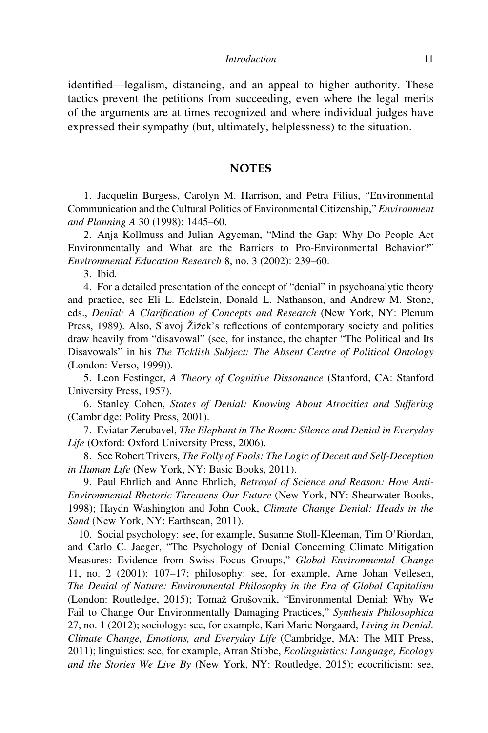identified—legalism, distancing, and an appeal to higher authority. These tactics prevent the petitions from succeeding, even where the legal merits of the arguments are at times recognized and where individual judges have expressed their sympathy (but, ultimately, helplessness) to the situation.

### **NOTES**

1. Jacquelin Burgess, Carolyn M. Harrison, and Petra Filius, "Environmental Communication and the Cultural Politics of Environmental Citizenship," *Environment and Planning A* 30 (1998): 1445–60.

2. Anja Kollmuss and Julian Agyeman, "Mind the Gap: Why Do People Act Environmentally and What are the Barriers to Pro-Environmental Behavior?" *Environmental Education Research* 8, no. 3 (2002): 239–60.

3. Ibid.

4. For a detailed presentation of the concept of "denial" in psychoanalytic theory and practice, see Eli L. Edelstein, Donald L. Nathanson, and Andrew M. Stone, eds., *Denial: A Clarification of Concepts and Research* (New York, NY: Plenum Press, 1989). Also, Slavoj Žižek's reflections of contemporary society and politics draw heavily from "disavowal" (see, for instance, the chapter "The Political and Its Disavowals" in his *The Ticklish Subject: The Absent Centre of Political Ontology* (London: Verso, 1999)).

5. Leon Festinger, *A Theory of Cognitive Dissonance* (Stanford, CA: Stanford University Press, 1957).

6. Stanley Cohen, *States of Denial: Knowing About Atrocities and Suffering* (Cambridge: Polity Press, 2001).

7. Eviatar Zerubavel, *The Elephant in The Room: Silence and Denial in Everyday Life* (Oxford: Oxford University Press, 2006).

8. See Robert Trivers, *The Folly of Fools: The Logic of Deceit and Self-Deception in Human Life* (New York, NY: Basic Books, 2011).

9. Paul Ehrlich and Anne Ehrlich, *Betrayal of Science and Reason: How Anti-Environmental Rhetoric Threatens Our Future* (New York, NY: Shearwater Books, 1998); Haydn Washington and John Cook, *Climate Change Denial: Heads in the Sand* (New York, NY: Earthscan, 2011).

10. Social psychology: see, for example, Susanne Stoll-Kleeman, Tim O'Riordan, and Carlo C. Jaeger, "The Psychology of Denial Concerning Climate Mitigation Measures: Evidence from Swiss Focus Groups," *Global Environmental Change* 11, no. 2 (2001): 107–17; philosophy: see, for example, Arne Johan Vetlesen, *The Denial of Nature: Environmental Philosophy in the Era of Global Capitalism* (London: Routledge, 2015); Tomaž Grušovnik, "Environmental Denial: Why We Fail to Change Our Environmentally Damaging Practices," *Synthesis Philosophica* 27, no. 1 (2012); sociology: see, for example, Kari Marie Norgaard, *Living in Denial. Climate Change, Emotions, and Everyday Life* (Cambridge, MA: The MIT Press, 2011); linguistics: see, for example, Arran Stibbe, *Ecolinguistics: Language, Ecology and the Stories We Live By* (New York, NY: Routledge, 2015); ecocriticism: see,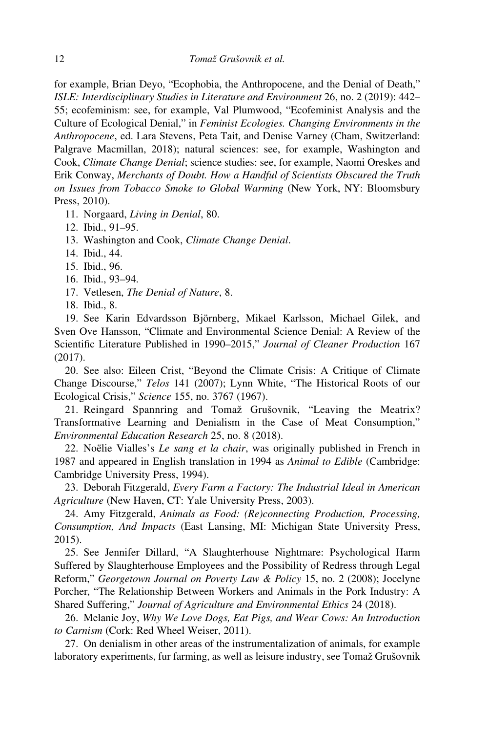for example, Brian Deyo, "Ecophobia, the Anthropocene, and the Denial of Death," *ISLE: Interdisciplinary Studies in Literature and Environment* 26, no. 2 (2019): 442– 55; ecofeminism: see, for example, Val Plumwood, "Ecofeminist Analysis and the Culture of Ecological Denial," in *Feminist Ecologies. Changing Environments in the Anthropocene*, ed. Lara Stevens, Peta Tait, and Denise Varney (Cham, Switzerland: Palgrave Macmillan, 2018); natural sciences: see, for example, Washington and Cook, *Climate Change Denial*; science studies: see, for example, Naomi Oreskes and Erik Conway, *Merchants of Doubt. How a Handful of Scientists Obscured the Truth on Issues from Tobacco Smoke to Global Warming* (New York, NY: Bloomsbury Press, 2010).

11. Norgaard, *Living in Denial*, 80.

12. Ibid., 91–95.

13. Washington and Cook, *Climate Change Denial*.

- 14. Ibid., 44.
- 15. Ibid., 96.
- 16. Ibid., 93–94.
- 17. Vetlesen, *The Denial of Nature*, 8.
- 18. Ibid., 8.

19. See Karin Edvardsson Björnberg, Mikael Karlsson, Michael Gilek, and Sven Ove Hansson, "Climate and Environmental Science Denial: A Review of the Scientific Literature Published in 1990–2015," *Journal of Cleaner Production* 167 (2017).

20. See also: Eileen Crist, "Beyond the Climate Crisis: A Critique of Climate Change Discourse," *Telos* 141 (2007); Lynn White, "The Historical Roots of our Ecological Crisis," *Science* 155, no. 3767 (1967).

21. Reingard Spannring and Tomaž Grušovnik, "Leaving the Meatrix? Transformative Learning and Denialism in the Case of Meat Consumption," *Environmental Education Research* 25, no. 8 (2018).

22. Noёlie Vialles's *Le sang et la chair*, was originally published in French in 1987 and appeared in English translation in 1994 as *Animal to Edible* (Cambridge: Cambridge University Press, 1994).

23. Deborah Fitzgerald, *Every Farm a Factory: The Industrial Ideal in American Agriculture* (New Haven, CT: Yale University Press, 2003).

24. Amy Fitzgerald, *Animals as Food: (Re)connecting Production, Processing, Consumption, And Impacts* (East Lansing, MI: Michigan State University Press, 2015).

25. See Jennifer Dillard, "A Slaughterhouse Nightmare: Psychological Harm Suffered by Slaughterhouse Employees and the Possibility of Redress through Legal Reform," *Georgetown Journal on Poverty Law & Policy* 15, no. 2 (2008); Jocelyne Porcher, "The Relationship Between Workers and Animals in the Pork Industry: A Shared Suffering," *Journal of Agriculture and Environmental Ethics* 24 (2018).

26. Melanie Joy, *Why We Love Dogs, Eat Pigs, and Wear Cows: An Introduction to Carnism* (Cork: Red Wheel Weiser, 2011).

27. On denialism in other areas of the instrumentalization of animals, for example laboratory experiments, fur farming, as well as leisure industry, see Tomaž Grušovnik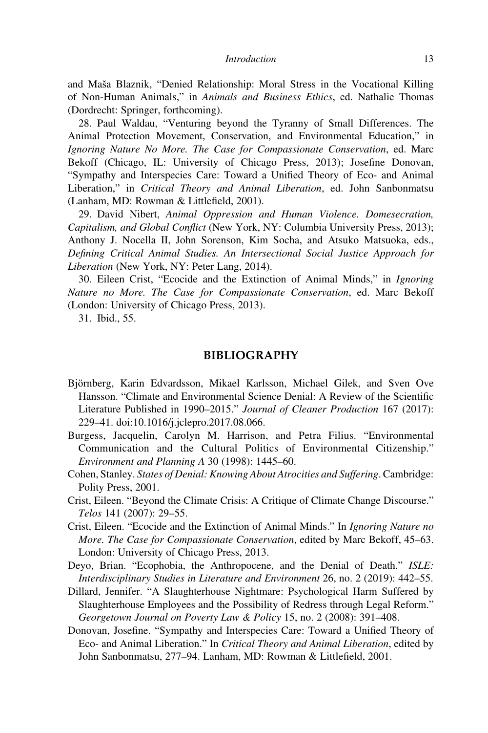and Maša Blaznik, "Denied Relationship: Moral Stress in the Vocational Killing of Non-Human Animals," in *Animals and Business Ethics*, ed. Nathalie Thomas (Dordrecht: Springer, forthcoming).

28. Paul Waldau, "Venturing beyond the Tyranny of Small Differences. The Animal Protection Movement, Conservation, and Environmental Education," in *Ignoring Nature No More. The Case for Compassionate Conservation*, ed. Marc Bekoff (Chicago, IL: University of Chicago Press, 2013); Josefine Donovan, "Sympathy and Interspecies Care: Toward a Unified Theory of Eco- and Animal Liberation," in *Critical Theory and Animal Liberation*, ed. John Sanbonmatsu (Lanham, MD: Rowman & Littlefield, 2001).

29. David Nibert, *Animal Oppression and Human Violence. Domesecration, Capitalism, and Global Conflict* (New York, NY: Columbia University Press, 2013); Anthony J. Nocella II, John Sorenson, Kim Socha, and Atsuko Matsuoka, eds., *Defining Critical Animal Studies. An Intersectional Social Justice Approach for Liberation* (New York, NY: Peter Lang, 2014).

30. Eileen Crist, "Ecocide and the Extinction of Animal Minds," in *Ignoring Nature no More. The Case for Compassionate Conservation*, ed. Marc Bekoff (London: University of Chicago Press, 2013).

31. Ibid., 55.

### **BIBLIOGRAPHY**

- Björnberg, Karin Edvardsson, Mikael Karlsson, Michael Gilek, and Sven Ove Hansson. "Climate and Environmental Science Denial: A Review of the Scientific Literature Published in 1990–2015." *Journal of Cleaner Production* 167 (2017): 229–41. doi:10.1016/j.jclepro.2017.08.066.
- Burgess, Jacquelin, Carolyn M. Harrison, and Petra Filius. "Environmental Communication and the Cultural Politics of Environmental Citizenship." *Environment and Planning A* 30 (1998): 1445–60.
- Cohen, Stanley. *States of Denial: Knowing About Atrocities and Suffering*. Cambridge: Polity Press, 2001.
- Crist, Eileen. "Beyond the Climate Crisis: A Critique of Climate Change Discourse." *Telos* 141 (2007): 29–55.
- Crist, Eileen. "Ecocide and the Extinction of Animal Minds." In *Ignoring Nature no More. The Case for Compassionate Conservation*, edited by Marc Bekoff, 45–63. London: University of Chicago Press, 2013.
- Deyo, Brian. "Ecophobia, the Anthropocene, and the Denial of Death." *ISLE: Interdisciplinary Studies in Literature and Environment* 26, no. 2 (2019): 442–55.
- Dillard, Jennifer. "A Slaughterhouse Nightmare: Psychological Harm Suffered by Slaughterhouse Employees and the Possibility of Redress through Legal Reform." *Georgetown Journal on Poverty Law & Policy* 15, no. 2 (2008): 391–408.
- Donovan, Josefine. "Sympathy and Interspecies Care: Toward a Unified Theory of Eco- and Animal Liberation." In *Critical Theory and Animal Liberation*, edited by John Sanbonmatsu, 277–94. Lanham, MD: Rowman & Littlefield, 2001.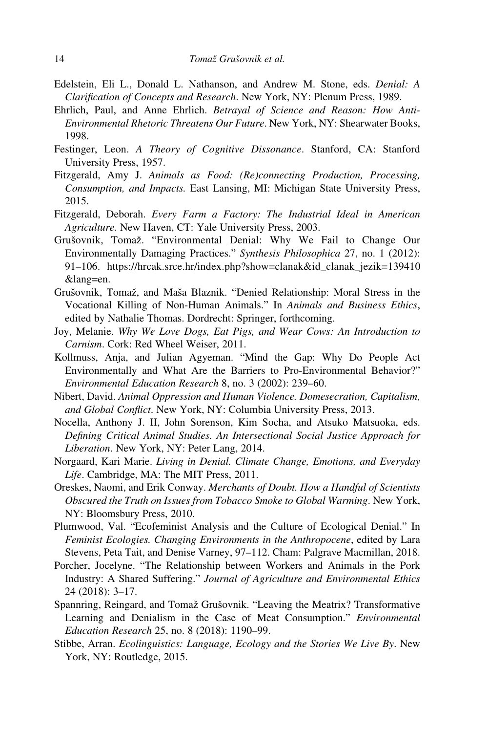- Edelstein, Eli L., Donald L. Nathanson, and Andrew M. Stone, eds. *Denial: A Clarification of Concepts and Research*. New York, NY: Plenum Press, 1989.
- Ehrlich, Paul, and Anne Ehrlich. *Betrayal of Science and Reason: How Anti-Environmental Rhetoric Threatens Our Future*. New York, NY: Shearwater Books, 1998.
- Festinger, Leon. *A Theory of Cognitive Dissonance*. Stanford, CA: Stanford University Press, 1957.
- Fitzgerald, Amy J. *Animals as Food: (Re)connecting Production, Processing, Consumption, and Impacts.* East Lansing, MI: Michigan State University Press, 2015.
- Fitzgerald, Deborah. *Every Farm a Factory: The Industrial Ideal in American Agriculture.* New Haven, CT: Yale University Press, 2003.
- Grušovnik, Tomaž. "Environmental Denial: Why We Fail to Change Our Environmentally Damaging Practices." *Synthesis Philosophica* 27, no. 1 (2012): 91–106. https://hrcak.srce.hr/index.php?show=clanak&id\_clanak\_jezik= 139410 [&lang=en.](http://https​:/​/hr​​cak​.s​​rce​.h​​r​/ind​​ex​.ph​​p​?sho​​w​=cla​​nak​&i​​d​_cla​​nak​_j​​ez​ik=​​13941​​0​&lan​​g​=en)
- Grušovnik, Tomaž, and Maša Blaznik. "Denied Relationship: Moral Stress in the Vocational Killing of Non-Human Animals." In *Animals and Business Ethics*, edited by Nathalie Thomas. Dordrecht: Springer, forthcoming.
- Joy, Melanie. *Why We Love Dogs, Eat Pigs, and Wear Cows: An Introduction to Carnism*. Cork: Red Wheel Weiser, 2011.
- Kollmuss, Anja, and Julian Agyeman. "Mind the Gap: Why Do People Act Environmentally and What Are the Barriers to Pro-Environmental Behavior?" *Environmental Education Research* 8, no. 3 (2002): 239–60.
- Nibert, David. *Animal Oppression and Human Violence. Domesecration, Capitalism, and Global Conflict*. New York, NY: Columbia University Press, 2013.
- Nocella, Anthony J. II, John Sorenson, Kim Socha, and Atsuko Matsuoka, eds. *Defining Critical Animal Studies. An Intersectional Social Justice Approach for Liberation*. New York, NY: Peter Lang, 2014.
- Norgaard, Kari Marie. *Living in Denial. Climate Change, Emotions, and Everyday Life*. Cambridge, MA: The MIT Press, 2011.
- Oreskes, Naomi, and Erik Conway. *Merchants of Doubt. How a Handful of Scientists Obscured the Truth on Issues from Tobacco Smoke to Global Warming*. New York, NY: Bloomsbury Press, 2010.
- Plumwood, Val. "Ecofeminist Analysis and the Culture of Ecological Denial." In *Feminist Ecologies. Changing Environments in the Anthropocene*, edited by Lara Stevens, Peta Tait, and Denise Varney, 97–112. Cham: Palgrave Macmillan, 2018.
- Porcher, Jocelyne. "The Relationship between Workers and Animals in the Pork Industry: A Shared Suffering." *Journal of Agriculture and Environmental Ethics* 24 (2018): 3–17.
- Spannring, Reingard, and Tomaž Grušovnik. "Leaving the Meatrix? Transformative Learning and Denialism in the Case of Meat Consumption." *Environmental Education Research* 25, no. 8 (2018): 1190–99.
- Stibbe, Arran. *Ecolinguistics: Language, Ecology and the Stories We Live By*. New York, NY: Routledge, 2015.